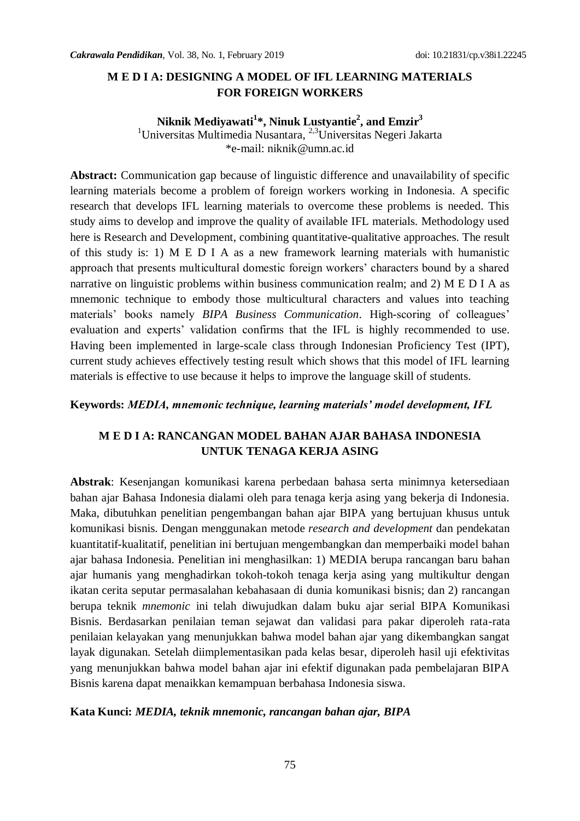## **M E D I A: DESIGNING A MODEL OF IFL LEARNING MATERIALS FOR FOREIGN WORKERS**

# **Niknik Mediyawati<sup>1</sup> \*, Ninuk Lustyantie<sup>2</sup> , and Emzir<sup>3</sup>**

<sup>1</sup>Universitas Multimedia Nusantara, <sup>2,3</sup>Universitas Negeri Jakarta \*e-mail: [niknik@umn.ac.id](mailto:niknik@umn.ac.id)

**Abstract:** Communication gap because of linguistic difference and unavailability of specific learning materials become a problem of foreign workers working in Indonesia. A specific research that develops IFL learning materials to overcome these problems is needed. This study aims to develop and improve the quality of available IFL materials. Methodology used here is Research and Development, combining quantitative-qualitative approaches. The result of this study is: 1) M E D I A as a new framework learning materials with humanistic approach that presents multicultural domestic foreign workers' characters bound by a shared narrative on linguistic problems within business communication realm; and 2) M E D I A as mnemonic technique to embody those multicultural characters and values into teaching materials' books namely *BIPA Business Communication*. High-scoring of colleagues' evaluation and experts' validation confirms that the IFL is highly recommended to use. Having been implemented in large-scale class through Indonesian Proficiency Test (IPT), current study achieves effectively testing result which shows that this model of IFL learning materials is effective to use because it helps to improve the language skill of students.

#### **Keywords:** *MEDIA, mnemonic technique, learning materials' model development, IFL*

# **M E D I A: RANCANGAN MODEL BAHAN AJAR BAHASA INDONESIA UNTUK TENAGA KERJA ASING**

**Abstrak**: Kesenjangan komunikasi karena perbedaan bahasa serta minimnya ketersediaan bahan ajar Bahasa Indonesia dialami oleh para tenaga kerja asing yang bekerja di Indonesia. Maka, dibutuhkan penelitian pengembangan bahan ajar BIPA yang bertujuan khusus untuk komunikasi bisnis. Dengan menggunakan metode *research and development* dan pendekatan kuantitatif-kualitatif, penelitian ini bertujuan mengembangkan dan memperbaiki model bahan ajar bahasa Indonesia. Penelitian ini menghasilkan: 1) MEDIA berupa rancangan baru bahan ajar humanis yang menghadirkan tokoh-tokoh tenaga kerja asing yang multikultur dengan ikatan cerita seputar permasalahan kebahasaan di dunia komunikasi bisnis; dan 2) rancangan berupa teknik *mnemonic* ini telah diwujudkan dalam buku ajar serial BIPA Komunikasi Bisnis. Berdasarkan penilaian teman sejawat dan validasi para pakar diperoleh rata-rata penilaian kelayakan yang menunjukkan bahwa model bahan ajar yang dikembangkan sangat layak digunakan. Setelah diimplementasikan pada kelas besar, diperoleh hasil uji efektivitas yang menunjukkan bahwa model bahan ajar ini efektif digunakan pada pembelajaran BIPA Bisnis karena dapat menaikkan kemampuan berbahasa Indonesia siswa.

#### **Kata Kunci:** *MEDIA, teknik mnemonic, rancangan bahan ajar, BIPA*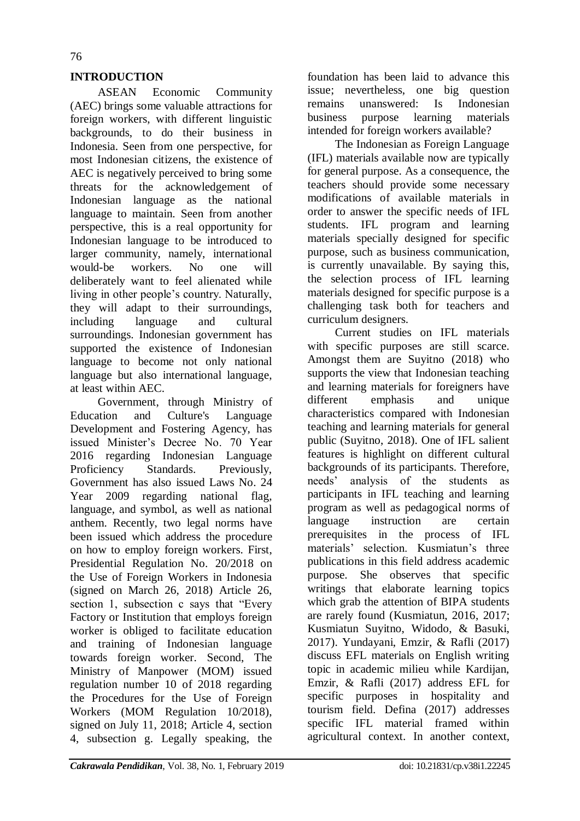## **INTRODUCTION**

ASEAN Economic Community (AEC) brings some valuable attractions for foreign workers, with different linguistic backgrounds, to do their business in Indonesia. Seen from one perspective, for most Indonesian citizens, the existence of AEC is negatively perceived to bring some threats for the acknowledgement of Indonesian language as the national language to maintain. Seen from another perspective, this is a real opportunity for Indonesian language to be introduced to larger community, namely, international would-be workers. No one will deliberately want to feel alienated while living in other people's country. Naturally, they will adapt to their surroundings, including language and cultural surroundings. Indonesian government has supported the existence of Indonesian language to become not only national language but also international language, at least within AEC.

Government, through Ministry of Education and Culture's Language Development and Fostering Agency, has issued Minister's Decree No. 70 Year 2016 regarding Indonesian Language Proficiency Standards. Previously, Government has also issued Laws No. 24 Year 2009 regarding national flag, language, and symbol, as well as national anthem. Recently, two legal norms have been issued which address the procedure on how to employ foreign workers. First, Presidential Regulation No. 20/2018 on the Use of Foreign Workers in Indonesia (signed on March 26, 2018) Article 26, section 1, subsection c says that "Every" Factory or Institution that employs foreign worker is obliged to facilitate education and training of Indonesian language towards foreign worker. Second, The Ministry of Manpower (MOM) issued regulation number 10 of 2018 regarding the Procedures for the Use of Foreign Workers (MOM Regulation 10/2018), signed on July 11, 2018; Article 4, section 4, subsection g. Legally speaking, the

foundation has been laid to advance this issue; nevertheless, one big question remains unanswered: Is Indonesian business purpose learning materials intended for foreign workers available?

The Indonesian as Foreign Language (IFL) materials available now are typically for general purpose. As a consequence, the teachers should provide some necessary modifications of available materials in order to answer the specific needs of IFL students. IFL program and learning materials specially designed for specific purpose, such as business communication, is currently unavailable. By saying this, the selection process of IFL learning materials designed for specific purpose is a challenging task both for teachers and curriculum designers.

Current studies on IFL materials with specific purposes are still scarce. Amongst them are Suyitno (2018) who supports the view that Indonesian teaching and learning materials for foreigners have different emphasis and unique characteristics compared with Indonesian teaching and learning materials for general public (Suyitno, 2018). One of IFL salient features is highlight on different cultural backgrounds of its participants. Therefore, needs' analysis of the students as participants in IFL teaching and learning program as well as pedagogical norms of language instruction are certain prerequisites in the process of IFL materials' selection. Kusmiatun's three publications in this field address academic purpose. She observes that specific writings that elaborate learning topics which grab the attention of BIPA students are rarely found (Kusmiatun, 2016, 2017; Kusmiatun Suyitno, Widodo, & Basuki, 2017). Yundayani, Emzir, & Rafli (2017) discuss EFL materials on English writing topic in academic milieu while Kardijan, Emzir, & Rafli (2017) address EFL for specific purposes in hospitality and tourism field. Defina (2017) addresses specific IFL material framed within agricultural context. In another context,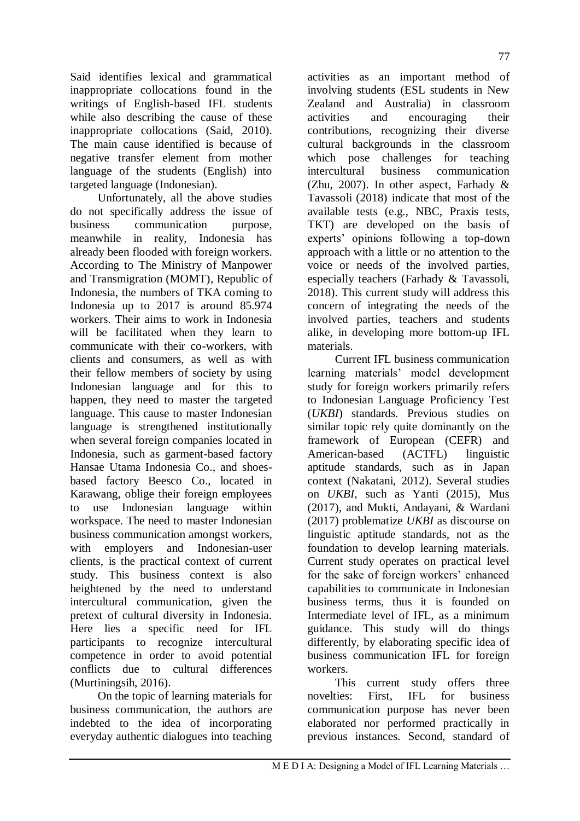Said identifies lexical and grammatical inappropriate collocations found in the writings of English-based IFL students while also describing the cause of these inappropriate collocations (Said, 2010). The main cause identified is because of negative transfer element from mother language of the students (English) into targeted language (Indonesian).

Unfortunately, all the above studies do not specifically address the issue of business communication purpose, meanwhile in reality, Indonesia has already been flooded with foreign workers. According to The Ministry of Manpower and Transmigration (MOMT), Republic of Indonesia, the numbers of TKA coming to Indonesia up to 2017 is around 85.974 workers. Their aims to work in Indonesia will be facilitated when they learn to communicate with their co-workers, with clients and consumers, as well as with their fellow members of society by using Indonesian language and for this to happen, they need to master the targeted language. This cause to master Indonesian language is strengthened institutionally when several foreign companies located in Indonesia, such as garment-based factory Hansae Utama Indonesia Co., and shoesbased factory Beesco Co., located in Karawang, oblige their foreign employees to use Indonesian language within workspace. The need to master Indonesian business communication amongst workers, with employers and Indonesian-user clients, is the practical context of current study. This business context is also heightened by the need to understand intercultural communication, given the pretext of cultural diversity in Indonesia. Here lies a specific need for IFL participants to recognize intercultural competence in order to avoid potential conflicts due to cultural differences (Murtiningsih, 2016).

On the topic of learning materials for business communication, the authors are indebted to the idea of incorporating everyday authentic dialogues into teaching

activities as an important method of involving students (ESL students in New Zealand and Australia) in classroom activities and encouraging their contributions, recognizing their diverse cultural backgrounds in the classroom which pose challenges for teaching intercultural business communication (Zhu, 2007). In other aspect, Farhady & Tavassoli (2018) indicate that most of the available tests (e.g., NBC, Praxis tests, TKT) are developed on the basis of experts' opinions following a top-down approach with a little or no attention to the voice or needs of the involved parties, especially teachers (Farhady & Tavassoli, 2018). This current study will address this concern of integrating the needs of the involved parties, teachers and students alike, in developing more bottom-up IFL materials.

Current IFL business communication learning materials' model development study for foreign workers primarily refers to Indonesian Language Proficiency Test (*UKBI*) standards. Previous studies on similar topic rely quite dominantly on the framework of European (CEFR) and American-based (ACTFL) linguistic aptitude standards, such as in Japan context (Nakatani, 2012). Several studies on *UKBI*, such as Yanti (2015), Mus (2017), and Mukti, Andayani, & Wardani (2017) problematize *UKBI* as discourse on linguistic aptitude standards, not as the foundation to develop learning materials. Current study operates on practical level for the sake of foreign workers' enhanced capabilities to communicate in Indonesian business terms, thus it is founded on Intermediate level of IFL, as a minimum guidance. This study will do things differently, by elaborating specific idea of business communication IFL for foreign workers.

This current study offers three novelties: First, IFL for business communication purpose has never been elaborated nor performed practically in previous instances. Second, standard of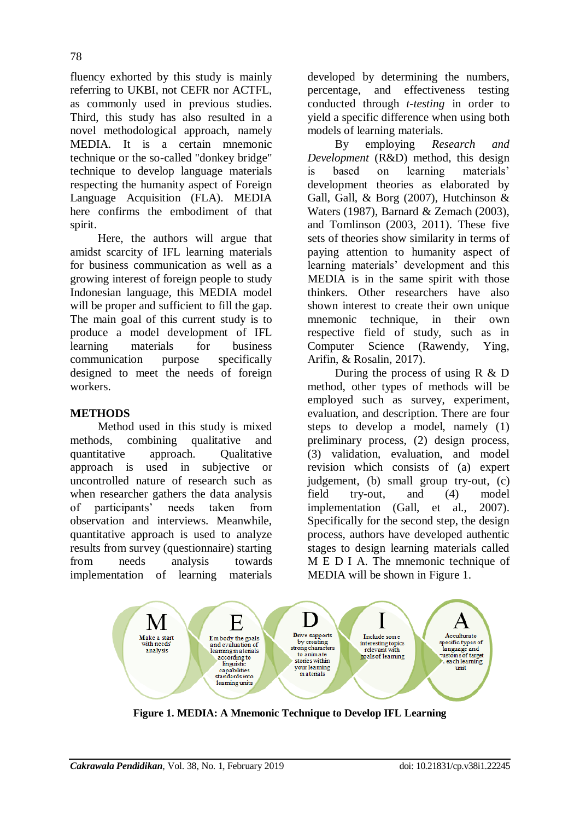fluency exhorted by this study is mainly referring to UKBI, not CEFR nor ACTFL, as commonly used in previous studies. Third, this study has also resulted in a novel methodological approach, namely MEDIA. It is a certain mnemonic technique or the so-called "donkey bridge" technique to develop language materials respecting the humanity aspect of Foreign Language Acquisition (FLA). MEDIA here confirms the embodiment of that spirit.

Here, the authors will argue that amidst scarcity of IFL learning materials for business communication as well as a growing interest of foreign people to study Indonesian language, this MEDIA model will be proper and sufficient to fill the gap. The main goal of this current study is to produce a model development of IFL learning materials for business communication purpose specifically designed to meet the needs of foreign workers.

## **METHODS**

Method used in this study is mixed methods, combining qualitative and quantitative approach. Qualitative approach is used in subjective or uncontrolled nature of research such as when researcher gathers the data analysis of participants' needs taken from observation and interviews. Meanwhile, quantitative approach is used to analyze results from survey (questionnaire) starting from needs analysis towards implementation of learning materials

developed by determining the numbers, percentage, and effectiveness testing conducted through *t-testing* in order to yield a specific difference when using both models of learning materials.

By employing *Research and Development* (R&D) method, this design is based on learning materials' development theories as elaborated by Gall, Gall, & Borg (2007), Hutchinson & Waters (1987), Barnard & Zemach (2003), and Tomlinson (2003, 2011). These five sets of theories show similarity in terms of paying attention to humanity aspect of learning materials' development and this MEDIA is in the same spirit with those thinkers. Other researchers have also shown interest to create their own unique mnemonic technique, in their own respective field of study, such as in Computer Science (Rawendy, Ying, Arifin, & Rosalin, 2017).

During the process of using  $R \& D$ method, other types of methods will be employed such as survey, experiment, evaluation, and description. There are four steps to develop a model, namely (1) preliminary process, (2) design process, (3) validation, evaluation, and model revision which consists of (a) expert judgement, (b) small group try-out, (c) field try-out, and (4) model implementation (Gall, et al., 2007). Specifically for the second step, the design process, authors have developed authentic stages to design learning materials called M E D I A. The mnemonic technique of MEDIA will be shown in Figure 1.



**Figure 1. MEDIA: A Mnemonic Technique to Develop IFL Learning**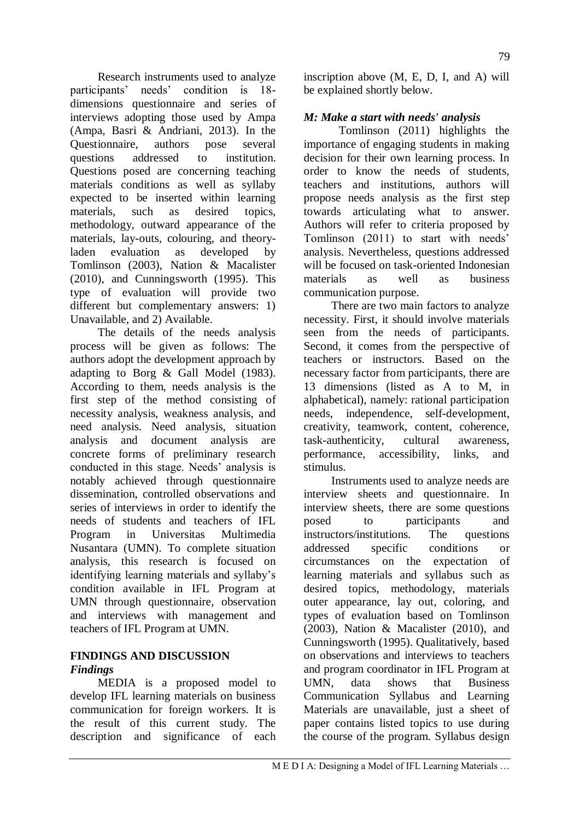Research instruments used to analyze participants' needs' condition is 18 dimensions questionnaire and series of interviews adopting those used by Ampa (Ampa, Basri & Andriani, 2013). In the Questionnaire, authors pose several questions addressed to institution. Questions posed are concerning teaching materials conditions as well as syllaby expected to be inserted within learning materials, such as desired topics, methodology, outward appearance of the materials, lay-outs, colouring, and theoryladen evaluation as developed by Tomlinson (2003), Nation & Macalister (2010), and Cunningsworth (1995). This type of evaluation will provide two different but complementary answers: 1) Unavailable, and 2) Available.

The details of the needs analysis process will be given as follows: The authors adopt the development approach by adapting to Borg & Gall Model (1983). According to them, needs analysis is the first step of the method consisting of necessity analysis, weakness analysis, and need analysis. Need analysis, situation analysis and document analysis are concrete forms of preliminary research conducted in this stage. Needs' analysis is notably achieved through questionnaire dissemination, controlled observations and series of interviews in order to identify the needs of students and teachers of IFL Program in Universitas Multimedia Nusantara (UMN). To complete situation analysis, this research is focused on identifying learning materials and syllaby's condition available in IFL Program at UMN through questionnaire, observation and interviews with management and teachers of IFL Program at UMN.

# **FINDINGS AND DISCUSSION** *Findings*

MEDIA is a proposed model to develop IFL learning materials on business communication for foreign workers. It is the result of this current study. The description and significance of each inscription above (M, E, D, I, and A) will be explained shortly below.

# *M: Make a start with needs' analysis*

Tomlinson (2011) highlights the importance of engaging students in making decision for their own learning process. In order to know the needs of students, teachers and institutions, authors will propose needs analysis as the first step towards articulating what to answer. Authors will refer to criteria proposed by Tomlinson (2011) to start with needs' analysis. Nevertheless, questions addressed will be focused on task-oriented Indonesian materials as well as business communication purpose.

There are two main factors to analyze necessity. First, it should involve materials seen from the needs of participants. Second, it comes from the perspective of teachers or instructors. Based on the necessary factor from participants, there are 13 dimensions (listed as A to M, in alphabetical), namely: rational participation needs, independence, self-development, creativity, teamwork, content, coherence, task-authenticity, cultural awareness, performance, accessibility, links, and stimulus.

Instruments used to analyze needs are interview sheets and questionnaire. In interview sheets, there are some questions posed to participants and instructors/institutions. The questions addressed specific conditions or circumstances on the expectation of learning materials and syllabus such as desired topics, methodology, materials outer appearance, lay out, coloring, and types of evaluation based on Tomlinson (2003), Nation & Macalister (2010), and Cunningsworth (1995). Qualitatively, based on observations and interviews to teachers and program coordinator in IFL Program at UMN, data shows that Business Communication Syllabus and Learning Materials are unavailable, just a sheet of paper contains listed topics to use during the course of the program. Syllabus design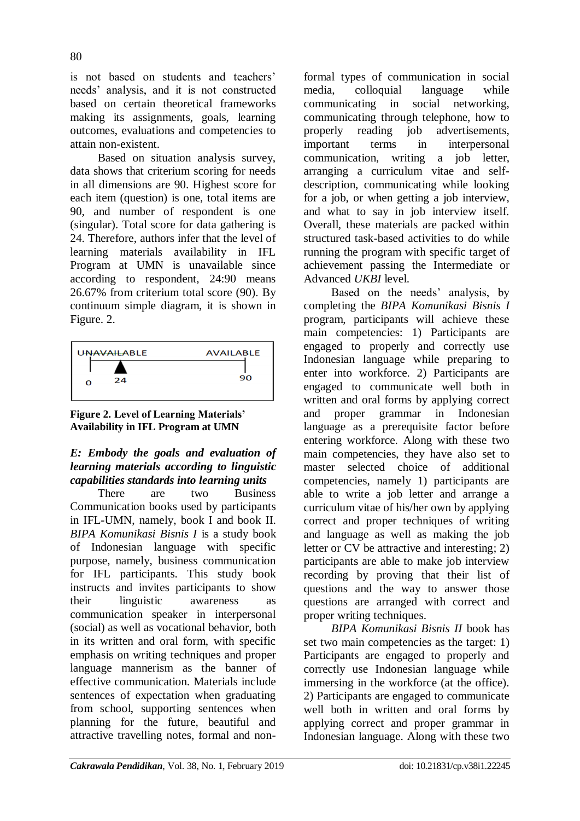is not based on students and teachers' needs' analysis, and it is not constructed based on certain theoretical frameworks making its assignments, goals, learning outcomes, evaluations and competencies to attain non-existent.

Based on situation analysis survey, data shows that criterium scoring for needs in all dimensions are 90. Highest score for each item (question) is one, total items are 90, and number of respondent is one (singular). Total score for data gathering is 24. Therefore, authors infer that the level of learning materials availability in IFL Program at UMN is unavailable since according to respondent, 24:90 means 26.67% from criterium total score (90). By continuum simple diagram, it is shown in Figure. 2.



**Figure 2. Level of Learning Materials' Availability in IFL Program at UMN**

## *E: Embody the goals and evaluation of learning materials according to linguistic capabilities standards into learning units*

There are two Business Communication books used by participants in IFL-UMN, namely, book I and book II. *BIPA Komunikasi Bisnis I* is a study book of Indonesian language with specific purpose, namely, business communication for IFL participants. This study book instructs and invites participants to show their linguistic awareness as communication speaker in interpersonal (social) as well as vocational behavior, both in its written and oral form, with specific emphasis on writing techniques and proper language mannerism as the banner of effective communication. Materials include sentences of expectation when graduating from school, supporting sentences when planning for the future, beautiful and attractive travelling notes, formal and nonformal types of communication in social media, colloquial language while communicating in social networking, communicating through telephone, how to properly reading job advertisements, important terms in interpersonal communication, writing a job letter, arranging a curriculum vitae and selfdescription, communicating while looking for a job, or when getting a job interview, and what to say in job interview itself. Overall, these materials are packed within structured task-based activities to do while running the program with specific target of achievement passing the Intermediate or Advanced *UKBI* level.

Based on the needs' analysis, by completing the *BIPA Komunikasi Bisnis I* program, participants will achieve these main competencies: 1) Participants are engaged to properly and correctly use Indonesian language while preparing to enter into workforce. 2) Participants are engaged to communicate well both in written and oral forms by applying correct and proper grammar in Indonesian language as a prerequisite factor before entering workforce. Along with these two main competencies, they have also set to master selected choice of additional competencies, namely 1) participants are able to write a job letter and arrange a curriculum vitae of his/her own by applying correct and proper techniques of writing and language as well as making the job letter or CV be attractive and interesting; 2) participants are able to make job interview recording by proving that their list of questions and the way to answer those questions are arranged with correct and proper writing techniques.

*BIPA Komunikasi Bisnis II* book has set two main competencies as the target: 1) Participants are engaged to properly and correctly use Indonesian language while immersing in the workforce (at the office). 2) Participants are engaged to communicate well both in written and oral forms by applying correct and proper grammar in Indonesian language. Along with these two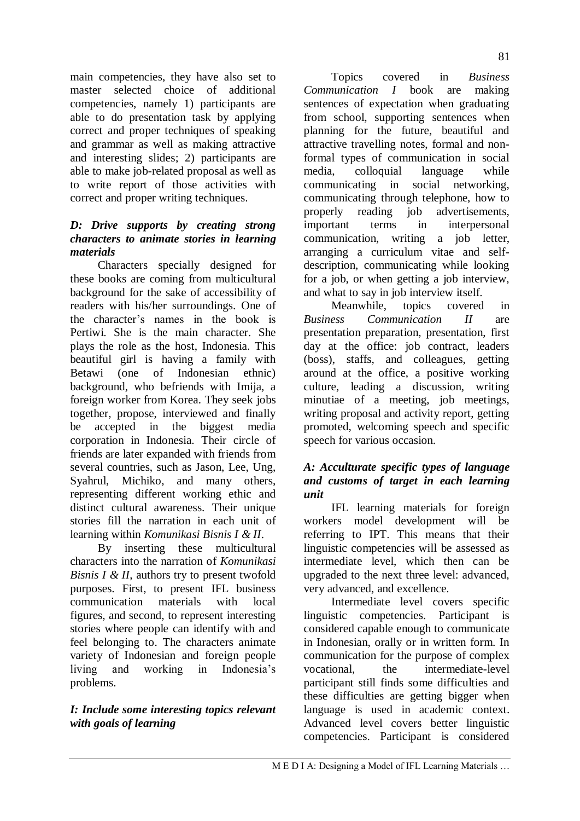main competencies, they have also set to master selected choice of additional competencies, namely 1) participants are able to do presentation task by applying correct and proper techniques of speaking and grammar as well as making attractive and interesting slides; 2) participants are able to make job-related proposal as well as to write report of those activities with correct and proper writing techniques.

# *D: Drive supports by creating strong characters to animate stories in learning materials*

Characters specially designed for these books are coming from multicultural background for the sake of accessibility of readers with his/her surroundings. One of the character's names in the book is Pertiwi. She is the main character. She plays the role as the host, Indonesia. This beautiful girl is having a family with Betawi (one of Indonesian ethnic) background, who befriends with Imija, a foreign worker from Korea. They seek jobs together, propose, interviewed and finally be accepted in the biggest media corporation in Indonesia. Their circle of friends are later expanded with friends from several countries, such as Jason, Lee, Ung, Syahrul, Michiko, and many others, representing different working ethic and distinct cultural awareness. Their unique stories fill the narration in each unit of learning within *Komunikasi Bisnis I & II*.

By inserting these multicultural characters into the narration of *Komunikasi Bisnis I & II*, authors try to present twofold purposes. First, to present IFL business communication materials with local figures, and second, to represent interesting stories where people can identify with and feel belonging to. The characters animate variety of Indonesian and foreign people living and working in Indonesia's problems.

# *I: Include some interesting topics relevant with goals of learning*

Topics covered in *Business Communication I* book are making sentences of expectation when graduating from school, supporting sentences when planning for the future, beautiful and attractive travelling notes, formal and nonformal types of communication in social media, colloquial language while communicating in social networking, communicating through telephone, how to properly reading job advertisements, important terms in interpersonal communication, writing a job letter, arranging a curriculum vitae and selfdescription, communicating while looking for a job, or when getting a job interview, and what to say in job interview itself.

Meanwhile, topics covered in *Business Communication II* are presentation preparation, presentation, first day at the office: job contract, leaders (boss), staffs, and colleagues, getting around at the office, a positive working culture, leading a discussion, writing minutiae of a meeting, job meetings, writing proposal and activity report, getting promoted, welcoming speech and specific speech for various occasion.

## *A: Acculturate specific types of language and customs of target in each learning unit*

IFL learning materials for foreign workers model development will be referring to IPT. This means that their linguistic competencies will be assessed as intermediate level, which then can be upgraded to the next three level: advanced, very advanced, and excellence.

Intermediate level covers specific linguistic competencies. Participant is considered capable enough to communicate in Indonesian, orally or in written form. In communication for the purpose of complex vocational, the intermediate-level participant still finds some difficulties and these difficulties are getting bigger when language is used in academic context. Advanced level covers better linguistic competencies. Participant is considered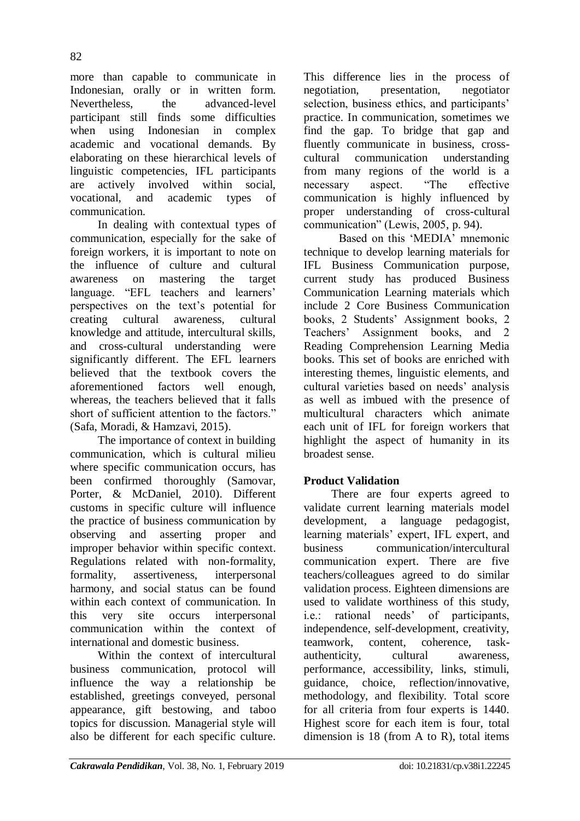82

more than capable to communicate in Indonesian, orally or in written form. Nevertheless, the advanced-level participant still finds some difficulties when using Indonesian in complex academic and vocational demands. By elaborating on these hierarchical levels of linguistic competencies, IFL participants are actively involved within social, vocational, and academic types of communication.

In dealing with contextual types of communication, especially for the sake of foreign workers, it is important to note on the influence of culture and cultural awareness on mastering the target language. "EFL teachers and learners" perspectives on the text's potential for creating cultural awareness, cultural knowledge and attitude, intercultural skills, and cross-cultural understanding were significantly different. The EFL learners believed that the textbook covers the aforementioned factors well enough, whereas, the teachers believed that it falls short of sufficient attention to the factors." (Safa, Moradi, & Hamzavi, 2015).

The importance of context in building communication, which is cultural milieu where specific communication occurs, has been confirmed thoroughly (Samovar, Porter, & McDaniel, 2010). Different customs in specific culture will influence the practice of business communication by observing and asserting proper and improper behavior within specific context. Regulations related with non-formality, formality, assertiveness, interpersonal harmony, and social status can be found within each context of communication. In this very site occurs interpersonal communication within the context of international and domestic business.

Within the context of intercultural business communication, protocol will influence the way a relationship be established, greetings conveyed, personal appearance, gift bestowing, and taboo topics for discussion. Managerial style will also be different for each specific culture. This difference lies in the process of negotiation, presentation, negotiator selection, business ethics, and participants' practice. In communication, sometimes we find the gap. To bridge that gap and fluently communicate in business, crosscultural communication understanding from many regions of the world is a necessary aspect. "The effective communication is highly influenced by proper understanding of cross-cultural communication" (Lewis, 2005, p. 94).

Based on this 'MEDIA' mnemonic technique to develop learning materials for IFL Business Communication purpose, current study has produced Business Communication Learning materials which include 2 Core Business Communication books, 2 Students' Assignment books, 2 Teachers' Assignment books, and 2 Reading Comprehension Learning Media books. This set of books are enriched with interesting themes, linguistic elements, and cultural varieties based on needs' analysis as well as imbued with the presence of multicultural characters which animate each unit of IFL for foreign workers that highlight the aspect of humanity in its broadest sense.

# **Product Validation**

There are four experts agreed to validate current learning materials model development, a language pedagogist, learning materials' expert, IFL expert, and business communication/intercultural communication expert. There are five teachers/colleagues agreed to do similar validation process. Eighteen dimensions are used to validate worthiness of this study, i.e.: rational needs' of participants, independence, self-development, creativity, teamwork, content, coherence, taskauthenticity, cultural awareness, performance, accessibility, links, stimuli, guidance, choice, reflection/innovative, methodology, and flexibility. Total score for all criteria from four experts is 1440. Highest score for each item is four, total dimension is 18 (from A to R), total items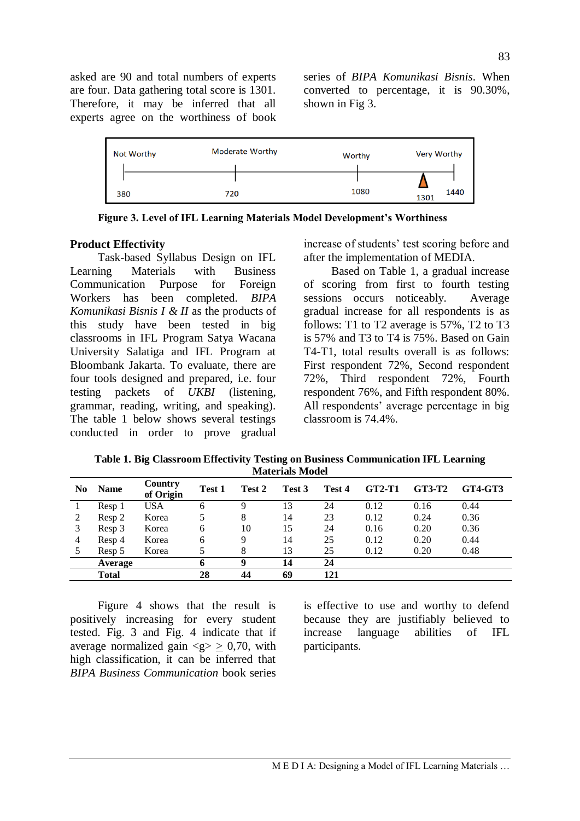asked are 90 and total numbers of experts are four. Data gathering total score is 1301. Therefore, it may be inferred that all experts agree on the worthiness of book series of *BIPA Komunikasi Bisnis*. When converted to percentage, it is 90.30%, shown in Fig 3.



**Figure 3. Level of IFL Learning Materials Model Development's Worthiness**

## **Product Effectivity**

Task-based Syllabus Design on IFL Learning Materials with Business Communication Purpose for Foreign Workers has been completed. *BIPA Komunikasi Bisnis I & II* as the products of this study have been tested in big classrooms in IFL Program Satya Wacana University Salatiga and IFL Program at Bloombank Jakarta. To evaluate, there are four tools designed and prepared, i.e. four testing packets of *UKBI* (listening, grammar, reading, writing, and speaking). The table 1 below shows several testings conducted in order to prove gradual increase of students' test scoring before and after the implementation of MEDIA.

Based on Table 1, a gradual increase of scoring from first to fourth testing sessions occurs noticeably. Average gradual increase for all respondents is as follows: T1 to T2 average is 57%, T2 to T3 is 57% and T3 to T4 is 75%. Based on Gain T4-T1, total results overall is as follows: First respondent 72%, Second respondent 72%, Third respondent 72%, Fourth respondent 76%, and Fifth respondent 80%. All respondents' average percentage in big classroom is 74.4%.

**Table 1. Big Classroom Effectivity Testing on Business Communication IFL Learning Materials Model** 

| N0 | <b>Name</b>  | <b>Country</b><br>of Origin | Test 1 | Test 2 | Test 3 | Test 4 | <b>GT2-T1</b> | GT3-T2 | <b>GT4-GT3</b> |
|----|--------------|-----------------------------|--------|--------|--------|--------|---------------|--------|----------------|
|    | Resp 1       | USA                         | 6      |        | 13     | 24     | 0.12          | 0.16   | 0.44           |
|    | Resp 2       | Korea                       |        | 8      | 14     | 23     | 0.12          | 0.24   | 0.36           |
|    | Resp 3       | Korea                       | 6      | 10     | 15     | 24     | 0.16          | 0.20   | 0.36           |
| 4  | Resp 4       | Korea                       | 6      | Q      | 14     | 25     | 0.12          | 0.20   | 0.44           |
|    | Resp 5       | Korea                       |        | 8      | 13     | 25     | 0.12          | 0.20   | 0.48           |
|    | Average      |                             | h      | Q      | 14     | 24     |               |        |                |
|    | <b>Total</b> |                             | 28     | 44     | 69     | 121    |               |        |                |

Figure 4 shows that the result is positively increasing for every student tested. Fig. 3 and Fig. 4 indicate that if average normalized gain  $\langle q \rangle > 0.70$ , with high classification, it can be inferred that *BIPA Business Communication* book series is effective to use and worthy to defend because they are justifiably believed to increase language abilities of IFL participants.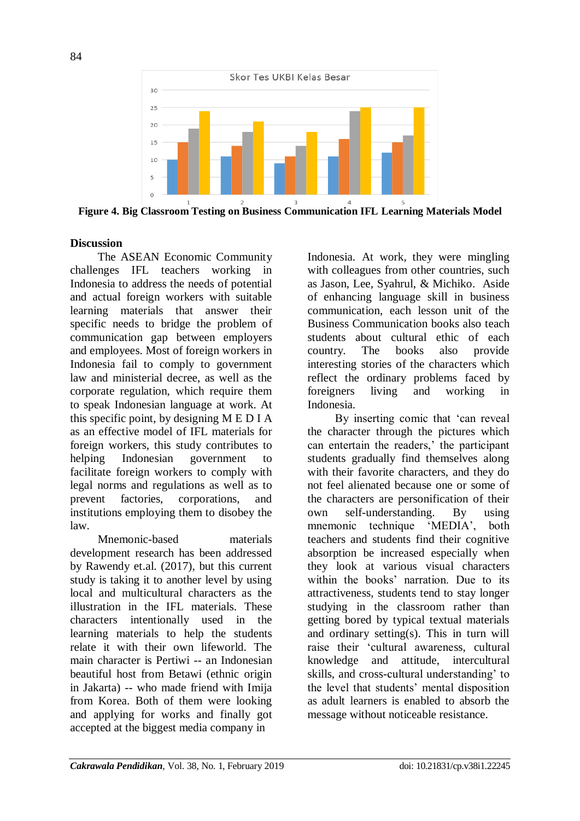

**Figure 4. Big Classroom Testing on Business Communication IFL Learning Materials Model** 

## **Discussion**

The ASEAN Economic Community challenges IFL teachers working in Indonesia to address the needs of potential and actual foreign workers with suitable learning materials that answer their specific needs to bridge the problem of communication gap between employers and employees. Most of foreign workers in Indonesia fail to comply to government law and ministerial decree, as well as the corporate regulation, which require them to speak Indonesian language at work. At this specific point, by designing M E D I A as an effective model of IFL materials for foreign workers, this study contributes to helping Indonesian government to facilitate foreign workers to comply with legal norms and regulations as well as to prevent factories, corporations, and institutions employing them to disobey the law.

Mnemonic-based materials development research has been addressed by Rawendy et.al. (2017), but this current study is taking it to another level by using local and multicultural characters as the illustration in the IFL materials. These characters intentionally used in the learning materials to help the students relate it with their own lifeworld. The main character is Pertiwi -- an Indonesian beautiful host from Betawi (ethnic origin in Jakarta) -- who made friend with Imija from Korea. Both of them were looking and applying for works and finally got accepted at the biggest media company in

Indonesia. At work, they were mingling with colleagues from other countries, such as Jason, Lee, Syahrul, & Michiko. Aside of enhancing language skill in business communication, each lesson unit of the Business Communication books also teach students about cultural ethic of each country. The books also provide interesting stories of the characters which reflect the ordinary problems faced by foreigners living and working in Indonesia.

By inserting comic that 'can reveal the character through the pictures which can entertain the readers,' the participant students gradually find themselves along with their favorite characters, and they do not feel alienated because one or some of the characters are personification of their own self-understanding. By using mnemonic technique 'MEDIA', both teachers and students find their cognitive absorption be increased especially when they look at various visual characters within the books' narration. Due to its attractiveness, students tend to stay longer studying in the classroom rather than getting bored by typical textual materials and ordinary setting(s). This in turn will raise their 'cultural awareness, cultural knowledge and attitude, intercultural skills, and cross-cultural understanding' to the level that students' mental disposition as adult learners is enabled to absorb the message without noticeable resistance.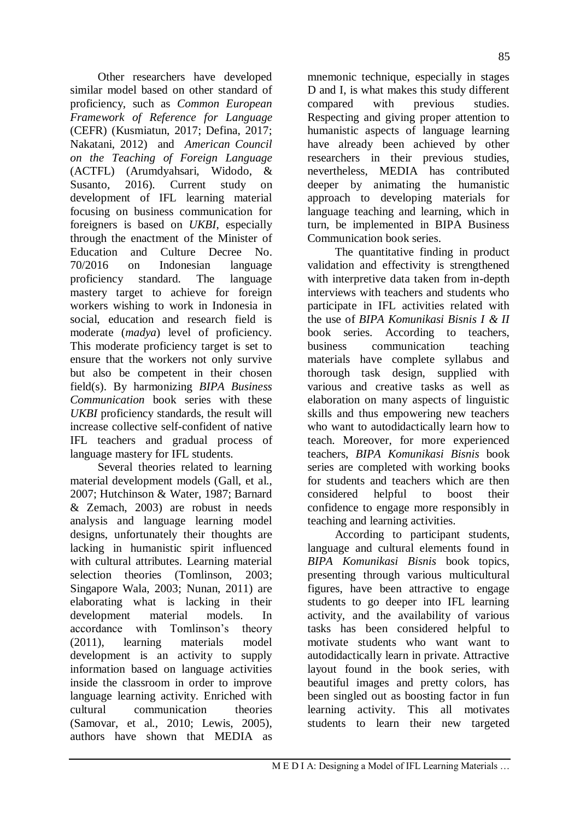Other researchers have developed similar model based on other standard of proficiency, such as *Common European Framework of Reference for Language*  (CEFR) (Kusmiatun, 2017; Defina, 2017; Nakatani, 2012) and *American Council on the Teaching of Foreign Language*  (ACTFL) (Arumdyahsari, Widodo, & Susanto, 2016). Current study on development of IFL learning material focusing on business communication for foreigners is based on *UKBI*, especially through the enactment of the Minister of Education and Culture Decree No. 70/2016 on Indonesian language proficiency standard. The language mastery target to achieve for foreign workers wishing to work in Indonesia in social, education and research field is moderate (*madya*) level of proficiency. This moderate proficiency target is set to ensure that the workers not only survive but also be competent in their chosen field(s). By harmonizing *BIPA Business Communication* book series with these *UKBI* proficiency standards, the result will increase collective self-confident of native IFL teachers and gradual process of language mastery for IFL students.

Several theories related to learning material development models (Gall, et al., 2007; Hutchinson & Water, 1987; Barnard & Zemach, 2003) are robust in needs analysis and language learning model designs, unfortunately their thoughts are lacking in humanistic spirit influenced with cultural attributes. Learning material selection theories (Tomlinson, 2003; Singapore Wala, 2003; Nunan, 2011) are elaborating what is lacking in their development material models. In accordance with Tomlinson's theory (2011), learning materials model development is an activity to supply information based on language activities inside the classroom in order to improve language learning activity. Enriched with cultural communication theories (Samovar, et al., 2010; Lewis, 2005), authors have shown that MEDIA as

mnemonic technique, especially in stages D and I, is what makes this study different compared with previous studies. Respecting and giving proper attention to humanistic aspects of language learning have already been achieved by other researchers in their previous studies, nevertheless, MEDIA has contributed deeper by animating the humanistic approach to developing materials for language teaching and learning, which in turn, be implemented in BIPA Business Communication book series.

The quantitative finding in product validation and effectivity is strengthened with interpretive data taken from in-depth interviews with teachers and students who participate in IFL activities related with the use of *BIPA Komunikasi Bisnis I & II* book series. According to teachers, business communication teaching materials have complete syllabus and thorough task design, supplied with various and creative tasks as well as elaboration on many aspects of linguistic skills and thus empowering new teachers who want to autodidactically learn how to teach. Moreover, for more experienced teachers, *BIPA Komunikasi Bisnis* book series are completed with working books for students and teachers which are then considered helpful to boost their confidence to engage more responsibly in teaching and learning activities.

According to participant students, language and cultural elements found in *BIPA Komunikasi Bisnis* book topics, presenting through various multicultural figures, have been attractive to engage students to go deeper into IFL learning activity, and the availability of various tasks has been considered helpful to motivate students who want want to autodidactically learn in private. Attractive layout found in the book series, with beautiful images and pretty colors, has been singled out as boosting factor in fun learning activity. This all motivates students to learn their new targeted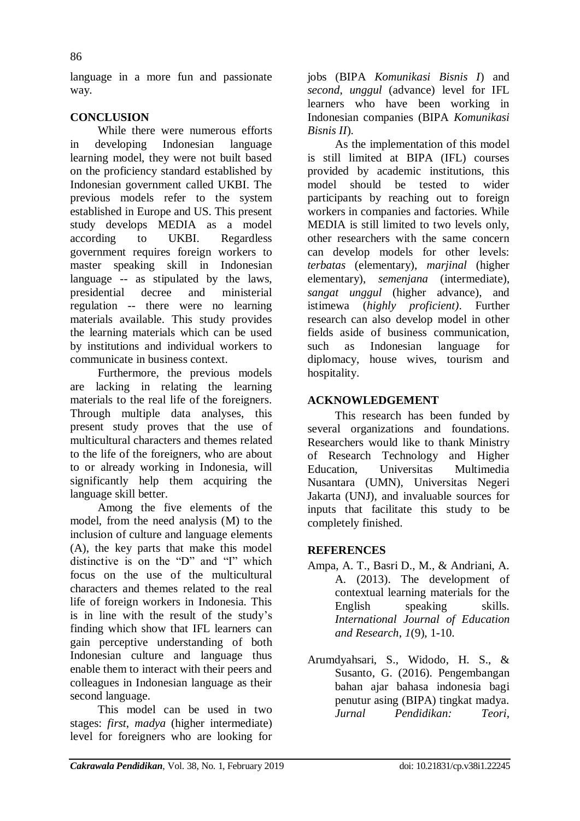language in a more fun and passionate way.

# **CONCLUSION**

While there were numerous efforts in developing Indonesian language learning model, they were not built based on the proficiency standard established by Indonesian government called UKBI. The previous models refer to the system established in Europe and US. This present study develops MEDIA as a model according to UKBI. Regardless government requires foreign workers to master speaking skill in Indonesian language -- as stipulated by the laws, presidential decree and ministerial regulation -- there were no learning materials available. This study provides the learning materials which can be used by institutions and individual workers to communicate in business context.

Furthermore, the previous models are lacking in relating the learning materials to the real life of the foreigners. Through multiple data analyses, this present study proves that the use of multicultural characters and themes related to the life of the foreigners, who are about to or already working in Indonesia, will significantly help them acquiring the language skill better.

Among the five elements of the model, from the need analysis (M) to the inclusion of culture and language elements (A), the key parts that make this model distinctive is on the  $D^{\prime\prime}$  and  $T^{\prime\prime}$  which focus on the use of the multicultural characters and themes related to the real life of foreign workers in Indonesia. This is in line with the result of the study's finding which show that IFL learners can gain perceptive understanding of both Indonesian culture and language thus enable them to interact with their peers and colleagues in Indonesian language as their second language.

This model can be used in two stages: *first*, *madya* (higher intermediate) level for foreigners who are looking for

jobs (BIPA *Komunikasi Bisnis I*) and *second*, *unggul* (advance) level for IFL learners who have been working in Indonesian companies (BIPA *Komunikasi Bisnis II*).

As the implementation of this model is still limited at BIPA (IFL) courses provided by academic institutions, this model should be tested to wider participants by reaching out to foreign workers in companies and factories. While MEDIA is still limited to two levels only, other researchers with the same concern can develop models for other levels: *terbatas* (elementary), *marjinal* (higher elementary), *semenjana* (intermediate), *sangat unggul* (higher advance), and istimewa (*highly proficient)*. Further research can also develop model in other fields aside of business communication, such as Indonesian language for diplomacy, house wives, tourism and hospitality.

# **ACKNOWLEDGEMENT**

This research has been funded by several organizations and foundations. Researchers would like to thank Ministry of Research Technology and Higher Education, Universitas Multimedia Nusantara (UMN), Universitas Negeri Jakarta (UNJ), and invaluable sources for inputs that facilitate this study to be completely finished.

## **REFERENCES**

- Ampa, A. T., Basri D., M., & Andriani, A. A. (2013). The development of contextual learning materials for the English speaking skills. *International Journal of Education and Research*, *1*(9), 1-10.
- Arumdyahsari, S., Widodo, H. S., & Susanto, G. (2016). Pengembangan bahan ajar bahasa indonesia bagi penutur asing (BIPA) tingkat madya. *Jurnal Pendidikan: Teori,*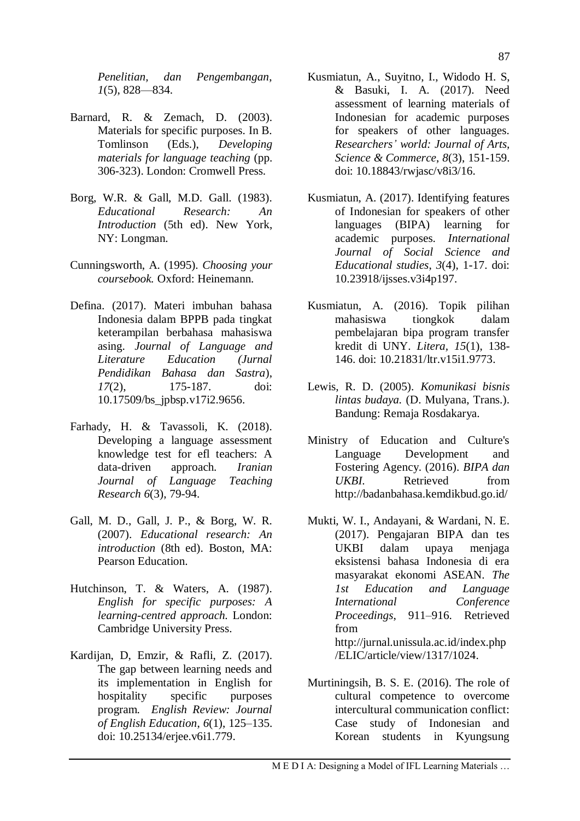*Penelitian, dan Pengembangan*, *1*(5), 828—834.

- Barnard, R. & Zemach, D. (2003). Materials for specific purposes. In B. Tomlinson (Eds.), *Developing materials for language teaching* (pp. 306-323). London: Cromwell Press.
- Borg, W.R. & Gall, M.D. Gall. (1983). *Educational Research: An Introduction* (5th ed). New York, NY: Longman.
- Cunningsworth, A. (1995). *Choosing your coursebook.* Oxford: Heinemann.
- Defina. (2017). Materi imbuhan bahasa Indonesia dalam BPPB pada tingkat keterampilan berbahasa mahasiswa asing. *Journal of Language and Literature Education (Jurnal Pendidikan Bahasa dan Sastra*), *17*(2), 175-187. doi: 10.17509/bs\_jpbsp.v17i2.9656.
- Farhady, H. & Tavassoli, K. (2018). Developing a language assessment knowledge test for efl teachers: A data-driven approach. *Iranian Journal of Language Teaching Research 6*(3), 79-94.
- Gall, M. D., Gall, J. P., & Borg, W. R. (2007). *Educational research: An introduction* (8th ed). Boston, MA: Pearson Education.
- Hutchinson, T. & Waters, A. (1987). *English for specific purposes: A learning-centred approach.* London: Cambridge University Press.
- Kardijan, D, Emzir, & Rafli, Z. (2017). The gap between learning needs and its implementation in English for hospitality specific purposes program. *English Review: Journal of English Education*, *6*(1), 125–135. doi: 10.25134/erjee.v6i1.779.
- Kusmiatun, A., Suyitno, I., Widodo H. S, & Basuki, I. A. (2017). Need assessment of learning materials of Indonesian for academic purposes for speakers of other languages. *Researchers' world: Journal of Arts, Science & Commerce*, *8*(3), 151-159. doi: 10.18843/rwjasc/v8i3/16.
- Kusmiatun, A. (2017). Identifying features of Indonesian for speakers of other languages (BIPA) learning for academic purposes. *International Journal of Social Science and Educational studies*, *3*(4), 1-17. doi: 10.23918/ijsses.v3i4p197.
- Kusmiatun, A. (2016). Topik pilihan mahasiswa tiongkok dalam pembelajaran bipa program transfer kredit di UNY. *Litera, 15*(1), 138- 146. doi: [10.21831/ltr.v15i1.9773.](http://dx.doi.org/10.21831/ltr.v15i1.9773)
- Lewis, R. D. (2005). *Komunikasi bisnis lintas budaya.* (D. Mulyana, Trans.). Bandung: Remaja Rosdakarya.
- Ministry of Education and Culture's Language Development and Fostering Agency. (2016). *BIPA dan UKBI.* Retrieved from <http://badanbahasa.kemdikbud.go.id/>
- Mukti, W. I., Andayani, & Wardani, N. E. (2017). Pengajaran BIPA dan tes UKBI dalam upaya menjaga eksistensi bahasa Indonesia di era masyarakat ekonomi ASEAN. *The 1st Education and Language International Conference Proceedings*, 911–916. Retrieved from [http://jurnal.unissula.ac.id/index.php](http://jurnal.unissula.ac.id/index.php/ELIC/article/view/1317/1024) [/ELIC/article/view/1317/1024.](http://jurnal.unissula.ac.id/index.php/ELIC/article/view/1317/1024)
- Murtiningsih, B. S. E. (2016). The role of cultural competence to overcome intercultural communication conflict: Case study of Indonesian and Korean students in Kyungsung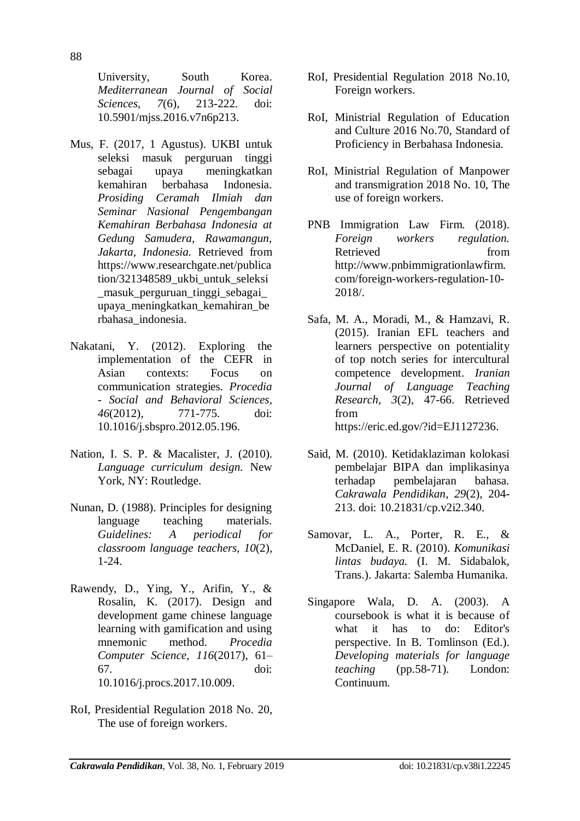University, South Korea. *Mediterranean Journal of Social Sciences, 7*(6), 213-222. doi: 10.5901/mjss.2016.v7n6p213.

- Mus, F. (2017, 1 Agustus). UKBI untuk seleksi masuk perguruan tinggi sebagai upaya meningkatkan kemahiran berbahasa Indonesia. *Prosiding Ceramah Ilmiah dan Seminar Nasional Pengembangan Kemahiran Berbahasa Indonesia at Gedung Samudera, Rawamangun, Jakarta, Indonesia.* Retrieved from [https://www.researchgate.net/publica](https://www.researchgate.net/publication/321348589_ukbi_untuk_seleksi_masuk_perguruan_tinggi_sebagai_upaya_meningkatkan_kemahiran_berbahasa_indonesia) tion/321348589 ukbi untuk seleksi [\\_masuk\\_perguruan\\_tinggi\\_sebagai\\_](https://www.researchgate.net/publication/321348589_ukbi_untuk_seleksi_masuk_perguruan_tinggi_sebagai_upaya_meningkatkan_kemahiran_berbahasa_indonesia) [upaya\\_meningkatkan\\_kemahiran\\_be](https://www.researchgate.net/publication/321348589_ukbi_untuk_seleksi_masuk_perguruan_tinggi_sebagai_upaya_meningkatkan_kemahiran_berbahasa_indonesia) [rbahasa\\_indonesia.](https://www.researchgate.net/publication/321348589_ukbi_untuk_seleksi_masuk_perguruan_tinggi_sebagai_upaya_meningkatkan_kemahiran_berbahasa_indonesia)
- Nakatani, Y. (2012). Exploring the implementation of the CEFR in Asian contexts: Focus on communication strategies. *Procedia - Social and Behavioral Sciences, 46*(2012), 771-775. doi: [10.1016/j.sbspro.2012.05.196.](https://doi.org/10.1016/j.sbspro.2012.05.196)
- Nation, I. S. P. & Macalister, J. (2010). *Language curriculum design.* New York, NY: Routledge.
- Nunan, D. (1988). Principles for designing language teaching materials. *Guidelines: A periodical for classroom language teachers, 10*(2), 1-24.
- Rawendy, D., Ying, Y., Arifin, Y., & Rosalin, K. (2017). Design and development game chinese language learning with gamification and using mnemonic method. *Procedia Computer Science, 116*(2017), 61– 67. [doi:](https://doi.org/10.1016/j.procs.2017.10.009)  [10.1016/j.procs.2017.10.009.](https://doi.org/10.1016/j.procs.2017.10.009)
- RoI, Presidential Regulation 2018 No. 20, The use of foreign workers.
- RoI, Presidential Regulation 2018 No.10, Foreign workers.
- RoI, Ministrial Regulation of Education and Culture 2016 No.70, Standard of Proficiency in Berbahasa Indonesia.
- RoI, Ministrial Regulation of Manpower and transmigration 2018 No. 10, The use of foreign workers.
- PNB Immigration Law Firm. (2018). *Foreign workers regulation.*  Retrieved from [http://www.pnbimmigrationlawfirm.](http://www.pnbimmigrationlawfirm.com/foreign-workers-regulation-10-2018/) [com/foreign-workers-regulation-10-](http://www.pnbimmigrationlawfirm.com/foreign-workers-regulation-10-2018/) [2018/.](http://www.pnbimmigrationlawfirm.com/foreign-workers-regulation-10-2018/)
- Safa, M. A., Moradi, M., & Hamzavi, R. (2015). Iranian EFL teachers and learners perspective on potentiality of top notch series for intercultural competence development. *Iranian Journal of Language Teaching Research, 3*(2), 47-66. Retrieved from [https://eric.ed.gov/?id=EJ1127236.](https://eric.ed.gov/?id=EJ1127236)
- Said, M. (2010). Ketidaklaziman kolokasi pembelajar BIPA dan implikasinya terhadap pembelajaran bahasa. *Cakrawala Pendidikan*, *29*(2), 204- 213. doi: [10.21831/cp.v2i2.340.](http://dx.doi.org/10.21831/cp.v2i2.340)
- Samovar, L. A., Porter, R. E., & McDaniel, E. R. (2010). *Komunikasi lintas budaya.* (I. M. Sidabalok, Trans.). Jakarta: Salemba Humanika.
- Singapore Wala, D. A. (2003). A coursebook is what it is because of what it has to do: Editor's perspective. In B. Tomlinson (Ed.). *Developing materials for language teaching* (pp.58-71). London: Continuum.